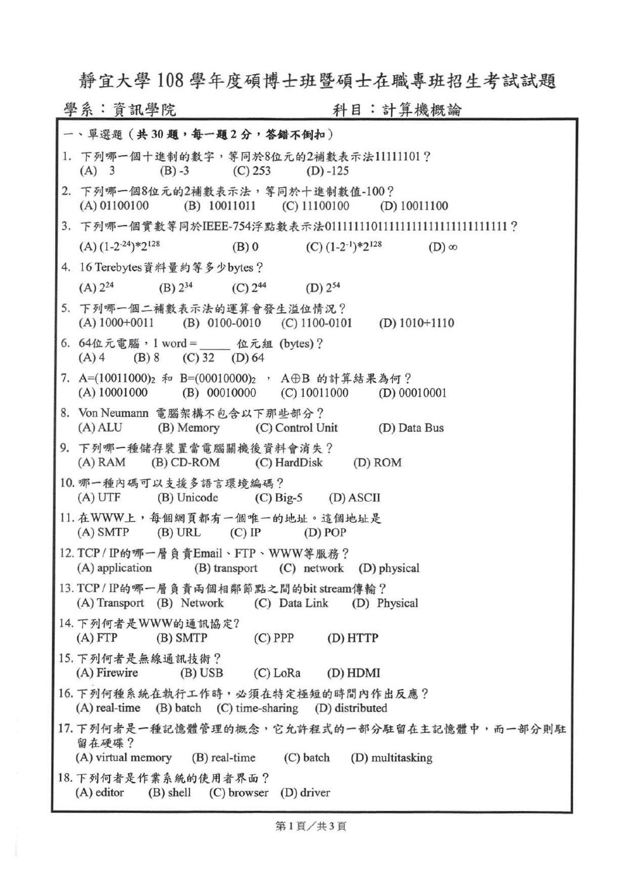## 靜宜大學 <sup>108</sup> 學年度碩博士班暨碩士在職專班招生考試試題

| 學系:資訊學院                                                                                                        | 科目:計算機概論                                                         |
|----------------------------------------------------------------------------------------------------------------|------------------------------------------------------------------|
| 一、單選題(共30題,每一題2分,答錯不倒扣)                                                                                        |                                                                  |
| 1. 下列哪一個十進制的數字, 等同於8位元的2補數表示法11111101?<br>$(A)$ 3<br>$(B) -3$ (C) 253                                          | $(D) - 125$                                                      |
| 2. 下列哪一個8位元的2補數表示法, 等同於十進制數值-100?<br>$(A) 01100100$ (B) 10011011 (C) 11100100 (D) 10011100                     |                                                                  |
|                                                                                                                | 3. 下列哪一個實數等同於IEEE-754浮點數表示法01111111101111111111111111111111111 ? |
| $(A)$ $(1-2^{-24})$ * $2^{128}$                                                                                | (B) 0 (C) $(1-2^{-1})$ *2 <sup>128</sup><br>$(D)$ $\infty$       |
| 4. 16 Terebytes資料量約等多少bytes?                                                                                   |                                                                  |
| (A) $2^{24}$ (B) $2^{34}$ (C) $2^{44}$                                                                         | (D) $2^{54}$                                                     |
| 5. 下列哪一個二補數表示法的運算會發生溢位情況?<br>(A) $1000+0011$ (B) $0100-0010$ (C) $1100-0101$ (D) $1010+1110$                   |                                                                  |
| 6. 64位元電腦, 1 word = 位元組 (bytes)?<br>$(A) 4$ (B) 8 (C) 32 (D) 64                                                |                                                                  |
| 7. A=(10011000)2 和 B=(00010000)2, A ⊕B 的計算結果為何?<br>(A) $10001000$ (B) $00010000$ (C) $10011000$ (D) $00010001$ |                                                                  |
| 8. Von Neumann 電腦架構不包含以下那些部分?<br>(A) ALU (B) Memory (C) Control Unit (D) Data Bus                              |                                                                  |
| 9. 下列哪一種儲存裝置當電腦關機後資料會消失?<br>(A) RAM (B) CD-ROM (C) HardDisk (D) ROM                                            |                                                                  |
| 10. 哪一種內碼可以支援多語言環境編碼?<br>(A) UTF $(B)$ Unicode $(C)$ Big-5 $(D)$ ASCII                                         |                                                                  |
| 11. 在WWW上,每個網頁都有一個唯一的地址。這個地址是<br>$(A)$ SMTP $(B)$ URL $(C)$ IP                                                 | $(D)$ POP                                                        |
| 12. TCP / IP的哪一層負責Email、FTP、WWW等服務?<br>(A) application (B) transport (C) network (D) physical                  |                                                                  |
| 13. TCP / IP的哪一層負責兩個相鄰節點之間的bit stream傳輸?<br>(A) Transport (B) Network (C) Data Link (D) Physical               |                                                                  |
| 14. 下列何者是WWW的通訊協定?<br>$(A) FTP$ $(B) SMTP$                                                                     | $(C)$ PPP<br>(D) HTTP                                            |
| 15. 下列何者是無線通訊技術?<br>(A) Firewire<br>$(C)$ LoRa<br>(B) USB                                                      | (D) HDMI                                                         |
| 16. 下列何種系統在執行工作時, 必須在特定極短的時間內作出反應?<br>(A) real-time (B) batch (C) time-sharing (D) distributed                 |                                                                  |
| 留在硬碟?<br>(A) virtual memory (B) real-time (C) batch (D) multitasking                                           | 17. 下列何者是一種記憶體管理的概念,它允許程式的一部分駐留在主記憶體中,而一部分則駐                     |
| 18. 下列何者是作業系統的使用者界面?<br>$(A)$ editor $(B)$ shell $(C)$ browser $(D)$ driver                                    |                                                                  |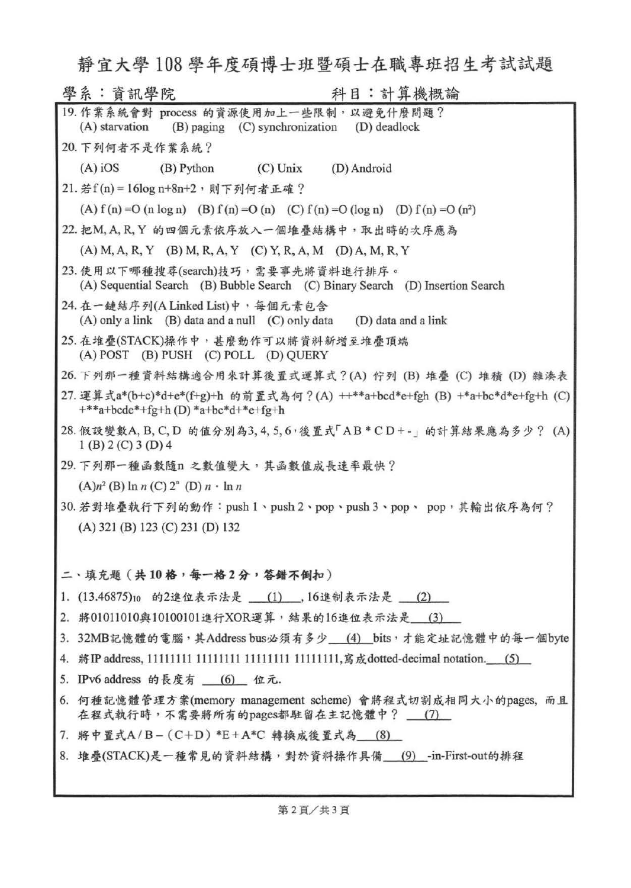靜宜大學 <sup>108</sup> 學年度碩博士班暨碩士在職專班招生考試試題

| 學系:資訊學院<br>科目:計算機概論                                                                                                    |
|------------------------------------------------------------------------------------------------------------------------|
| 19. 作業系統會對 process 的資源使用加上一些限制,以避免什麼問題?<br>(A) starvation (B) paging (C) synchronization (D) deadlock                  |
| 20. 下列何者不是作業系統?                                                                                                        |
| (A) iOS (B) Python (C) Unix (D) Android                                                                                |
| 21. 若f(n) = 16log n+8n+2, 則下列何者正確?                                                                                     |
| (A) $f(n) = O(n \log n)$ (B) $f(n) = O(n)$ (C) $f(n) = O(\log n)$ (D) $f(n) = O(n^2)$                                  |
| 22. 把M, A, R, Y 的四個元素依序放入一個堆疊結構中, 取出時的次序應為                                                                             |
| $(A) M, A, R, Y \quad (B) M, R, A, Y \quad (C) Y, R, A, M \quad (D) A, M, R, Y$                                        |
| 23. 使用以下哪種搜尋(search)技巧, 需要事先將資料進行排序。<br>(A) Sequential Search (B) Bubble Search (C) Binary Search (D) Insertion Search |
| 24. 在一鏈結序列(A Linked List)中, 每個元素包含<br>(A) only a link (B) data and a null (C) only data (D) data and a link            |
| 25. 在堆疊(STACK)操作中,甚麼動作可以將資料新增至堆疊頂端<br>(A) POST (B) PUSH (C) POLL (D) QUERY                                             |
| 26. 下列那一種資料結構適合用來計算後置式運算式?(A) 佇列 (B) 堆疊 (C) 堆積 (D) 雜湊表                                                                 |
| 27. 運算式a*(b+c)*d+e*(f+g)+h 的前置式為何?(A) ++**a+bcd*e+fgh (B) +*a+bc*d*e+fg+h (C)<br>$+$ **a+bcde*+fg+h(D)*a+bc*d+*e+fg+h  |
| 28. 假設變數A, B, C, D 的值分别為3, 4, 5, 6, 後置式「AB * C D + -」的計算結果應為多少? (A)<br>$1$ (B) 2 (C) 3 (D) 4                           |
| 29. 下列那一種函數隨n 之數值變大, 其函數值成長速率最快?                                                                                       |
| $(A)n^2$ (B) $\ln n$ (C) $2^n$ (D) $n \cdot \ln n$                                                                     |
| 30.若對堆疊執行下列的動作:push 1、push 2、pop、push 3、pop、 pop, 其輸出依序為何?                                                             |
| $(A)$ 321 (B) 123 (C) 231 (D) 132                                                                                      |
|                                                                                                                        |
| 二、填充題 (共10格,每一格2分,答錯不倒扣)                                                                                               |
| 1. (13.46875)10 的2進位表示法是 (1), 16進制表示法是 (2)                                                                             |
| 將01011010與10100101進行XOR運算,結果的16進位表示法是 (3)<br>2.                                                                        |
| 3. 32MB記憶體的電腦,其Address bus必須有多少 (4) bits,才能定址記憶體中的每一個byte                                                              |
|                                                                                                                        |
| IPv6 address 的長度有 ___ (6) __ 位元.<br>5.                                                                                 |
| 何種記憶體管理方案(memory management scheme) 會將程式切割成相同大小的pages, 而且<br>6.<br>在程式執行時,不需要將所有的pages都駐留在主記憶體中? (7)                   |
| 7. 將中置式A/B-(C+D) *E+A*C 轉換成後置式為 (8)                                                                                    |
| 8. 堆疊(STACK)是一種常見的資料結構,對於資料操作具備 (9) -in-First-out的排程                                                                   |